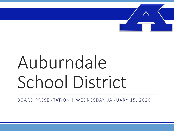

# Auburndale School District

BOARD PRESENTATION | WEDNESDAY, JANUARY 15, 2020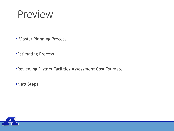### Preview

- **E** Master Planning Process
- ■Estimating Process
- **Reviewing District Facilities Assessment Cost Estimate**
- **Next Steps**

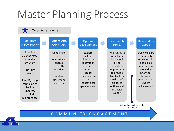## Master Planning Process

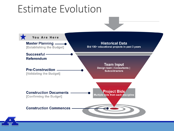### Estimate Evolution

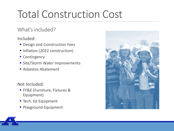# Total Construction Cost

#### What's included?

Included:

- **Design and Construction Fees**
- Inflation (2022 construction)
- Contingency
- **E** Site/Storm Water Improvements
- Asbestos Abatement

Not Included:

- **FF&E (Furniture, Fixtures &** Equipment)
- Tech. Ed Equipment
- **Playground Equipment**



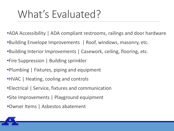# What's Evaluated?

- •ADA Accessibility | ADA compliant restrooms, railings and door hardware
- •Building Envelope Improvements | Roof, windows, masonry, etc.
- •Building Interior Improvements | Casework, ceiling, flooring, etc.
- •Fire Suppression | Building sprinkler
- •Plumbing | Fixtures, piping and equipment
- •HVAC | Heating, cooling and controls
- •Electrical | Service, fixtures and communication
- •Site Improvements | Playground equipment
- •Owner Items | Asbestos abatement

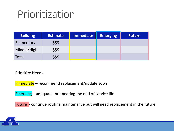### Prioritization

| <b>Building</b> | <b>Estimate</b> | <b>Immediate</b> | <b>Emerging</b> | <b>Future</b> |
|-----------------|-----------------|------------------|-----------------|---------------|
| Elementary      | \$\$\$          |                  |                 |               |
| Middle/High     | \$\$\$          |                  |                 |               |
| Total           | \$\$\$          |                  |                 |               |

#### Prioritize Needs

Immediate – recommend replacement/update soon

Emerging – adequate but nearing the end of service life

Future - continue routine maintenance but will need replacement in the future

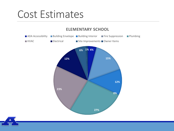### Cost Estimates



#### **ELEMENTARY SCHOOL**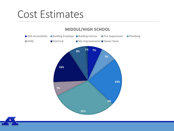### Cost Estimates

#### **7% 7% 23% 0% 31% 7% 16% 8% 1%** ■ ADA Accessibility ■ Building Envelope ■ Building Interior ■ Fire Suppression ■ Plumbing ■HVAC Electrical ■ Site Improvements Owner Items

#### **MIDDLE/HIGH SCHOOL**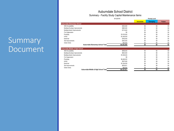#### Auburndale School District Summary - Facility Study Capital Maintenance Items

|                                       | 8/12/2019   | <b>Priority Level</b> |                 |        |
|---------------------------------------|-------------|-----------------------|-----------------|--------|
|                                       |             | <b>Immediate</b>      | <b>Emerging</b> | Future |
| Auburndale Elementary School          |             |                       |                 |        |
| ADA Accessibility                     | \$263,000   | \$0                   | \$0             | Ŝ.     |
| Building Envelope Improvements        | \$965,000   | \$0                   | \$0             | \$l    |
| Building Interior Improvements        | \$770,000   | \$0                   | \$0             | \$     |
| Fire Suppression                      | \$0         | \$0                   | \$0             | \$l    |
| Plumbing                              | \$1,676,000 | \$0                   | \$0             | \$(    |
| <b>HVAC</b>                           | \$1,456,000 | \$0                   | \$Ú             | SI.    |
| Electrical                            | \$742,000   | \$0                   | \$0             | \$í    |
| Site Improvements                     | \$350.000   | \$0                   | \$0             | Ŝí     |
| Owner Items                           | \$40,000    | \$0                   | \$0             | \$     |
| Auburndale Elementary School Total    | \$6,262,000 | \$0                   | \$0             | \$í    |
| Auburndale Middle & High School       |             |                       |                 |        |
| ADA Accessibility                     | \$559,000   | \$0                   | \$0             | \$     |
| Building Envelope Improvements        | \$604,000   | \$0                   | \$Ú             | \$1    |
| Building Interior Improvements        | \$1,848,000 | \$0                   | \$0             | \$I    |
| Fire Suppression                      | \$0         | \$0                   | \$0             | \$t    |
| Plumbing                              | \$2,489,000 | \$0                   | \$0             | \$I    |
| <b>HVAC</b>                           | \$537,000   | \$0                   | \$0             | \$í    |
| Electrical                            | \$1,334,000 | \$0                   | \$0             | \$l    |
| Site Improvements                     | \$676,811   | \$0                   | \$0             | \$     |
| Owner Items                           | \$80,000    | \$0                   | \$0             | \$l    |
| Auburndale Middle & High School Total | \$8,127,811 | \$0                   | \$0             | \$1    |

#### Summary Document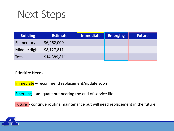### Next Steps

| <b>Building</b> | <b>Estimate</b> | <b>Immediate</b> | <b>Emerging</b> | <b>Future</b> |
|-----------------|-----------------|------------------|-----------------|---------------|
| Elementary      | \$6,262,000     |                  |                 |               |
| Middle/High     | \$8,127,811     |                  |                 |               |
| Total           | \$14,389,811    |                  |                 |               |

#### Prioritize Needs

Immediate – recommend replacement/update soon

Emerging – adequate but nearing the end of service life

Future - continue routine maintenance but will need replacement in the future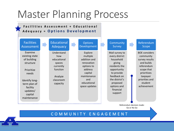## Master Planning Process



#### C O M M U N I T Y E N G A G E M E N T